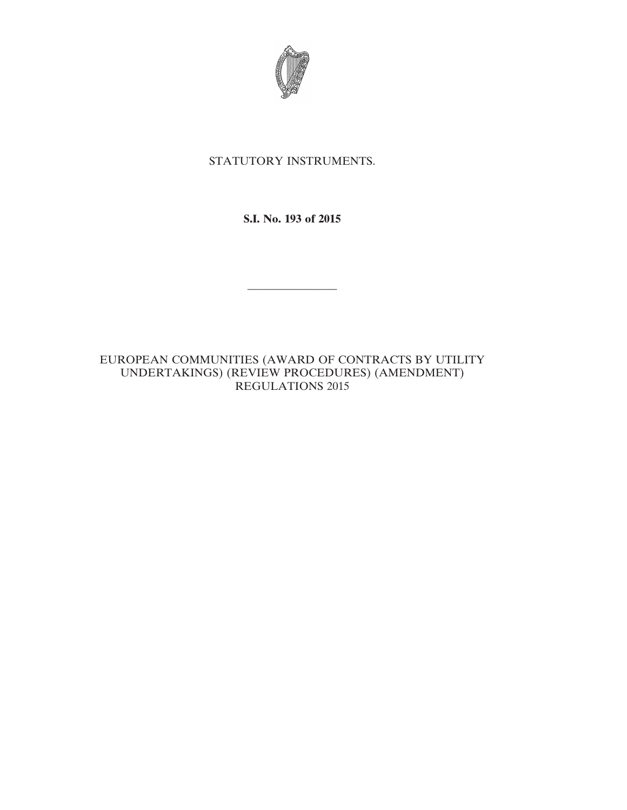

# STATUTORY INSTRUMENTS.

**S.I. No. 193 of 2015**

————————

EUROPEAN COMMUNITIES (AWARD OF CONTRACTS BY UTILITY UNDERTAKINGS) (REVIEW PROCEDURES) (AMENDMENT) REGULATIONS 2015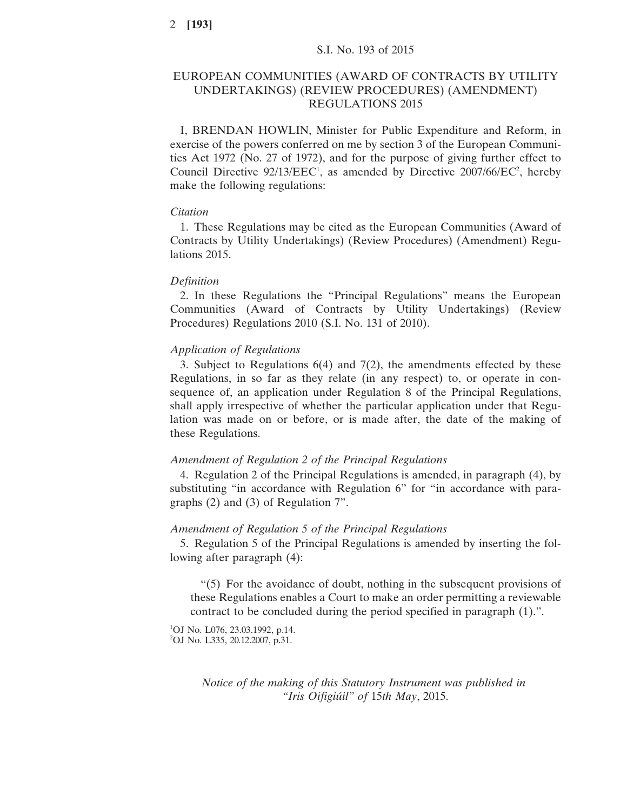# EUROPEAN COMMUNITIES (AWARD OF CONTRACTS BY UTILITY UNDERTAKINGS) (REVIEW PROCEDURES) (AMENDMENT) REGULATIONS 2015

I, BRENDAN HOWLIN, Minister for Public Expenditure and Reform, in exercise of the powers conferred on me by section 3 of the European Communities Act 1972 (No. 27 of 1972), and for the purpose of giving further effect to Council Directive  $92/13/EEC<sup>1</sup>$ , as amended by Directive 2007/66/EC<sup>2</sup>, hereby make the following regulations:

### *Citation*

1. These Regulations may be cited as the European Communities (Award of Contracts by Utility Undertakings) (Review Procedures) (Amendment) Regulations 2015.

### *Definition*

2. In these Regulations the "Principal Regulations" means the European Communities (Award of Contracts by Utility Undertakings) (Review Procedures) Regulations 2010 (S.I. No. 131 of 2010).

### *Application of Regulations*

3. Subject to Regulations 6(4) and 7(2), the amendments effected by these Regulations, in so far as they relate (in any respect) to, or operate in consequence of, an application under Regulation 8 of the Principal Regulations, shall apply irrespective of whether the particular application under that Regulation was made on or before, or is made after, the date of the making of these Regulations.

#### *Amendment of Regulation 2 of the Principal Regulations*

4. Regulation 2 of the Principal Regulations is amended, in paragraph (4), by substituting "in accordance with Regulation 6" for "in accordance with paragraphs (2) and (3) of Regulation 7".

### *Amendment of Regulation 5 of the Principal Regulations*

5. Regulation 5 of the Principal Regulations is amended by inserting the following after paragraph (4):

"(5) For the avoidance of doubt, nothing in the subsequent provisions of these Regulations enables a Court to make an order permitting a reviewable contract to be concluded during the period specified in paragraph (1).".

<sup>1</sup>OJ No. L076, 23.03.1992, p.14. 2 OJ No. L335, 20.12.2007, p.31.

> *Notice of the making of this Statutory Instrument was published in "Iris Oifigiúil" of* 15*th May*, 2015.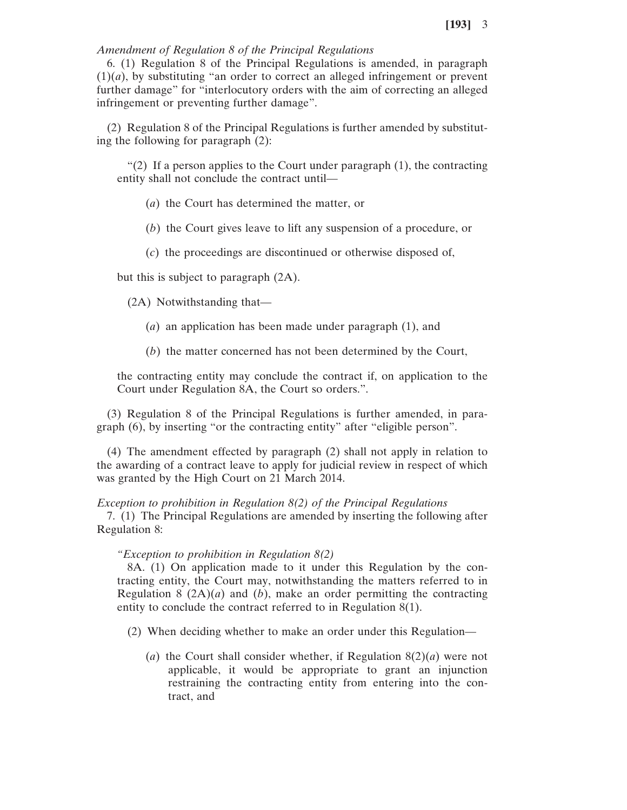### *Amendment of Regulation 8 of the Principal Regulations*

6. (1) Regulation 8 of the Principal Regulations is amended, in paragraph (1)(*a*), by substituting "an order to correct an alleged infringement or prevent further damage" for "interlocutory orders with the aim of correcting an alleged infringement or preventing further damage".

(2) Regulation 8 of the Principal Regulations is further amended by substituting the following for paragraph (2):

"(2) If a person applies to the Court under paragraph  $(1)$ , the contracting entity shall not conclude the contract until—

(*a*) the Court has determined the matter, or

(*b*) the Court gives leave to lift any suspension of a procedure, or

(*c*) the proceedings are discontinued or otherwise disposed of,

but this is subject to paragraph (2A).

(2A) Notwithstanding that—

- (*a*) an application has been made under paragraph (1), and
- (*b*) the matter concerned has not been determined by the Court,

the contracting entity may conclude the contract if, on application to the Court under Regulation 8A, the Court so orders.".

(3) Regulation 8 of the Principal Regulations is further amended, in paragraph (6), by inserting "or the contracting entity" after "eligible person".

(4) The amendment effected by paragraph (2) shall not apply in relation to the awarding of a contract leave to apply for judicial review in respect of which was granted by the High Court on 21 March 2014.

### *Exception to prohibition in Regulation 8(2) of the Principal Regulations*

7. (1) The Principal Regulations are amended by inserting the following after Regulation 8:

### *"Exception to prohibition in Regulation 8(2)*

8A. (1) On application made to it under this Regulation by the contracting entity, the Court may, notwithstanding the matters referred to in Regulation 8  $(2A)(a)$  and  $(b)$ , make an order permitting the contracting entity to conclude the contract referred to in Regulation 8(1).

- (2) When deciding whether to make an order under this Regulation—
	- (*a*) the Court shall consider whether, if Regulation 8(2)(*a*) were not applicable, it would be appropriate to grant an injunction restraining the contracting entity from entering into the contract, and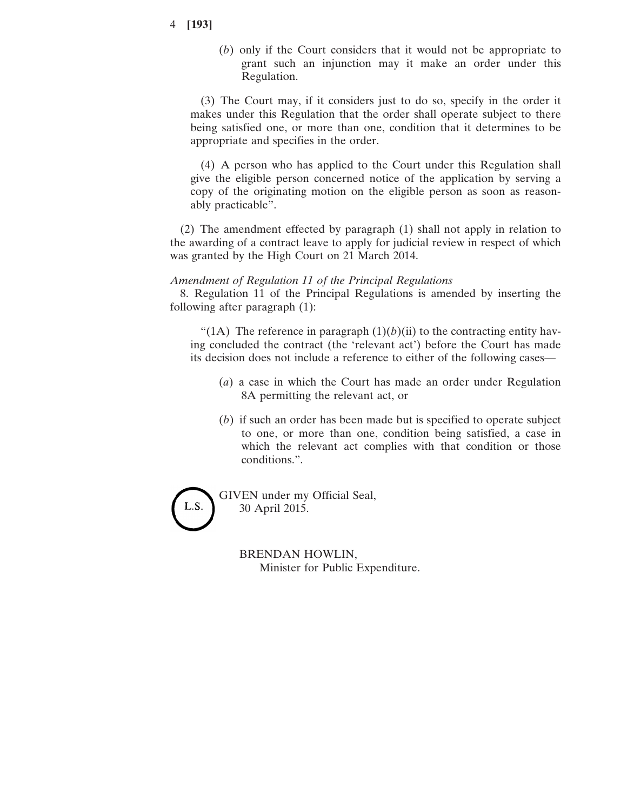## 4 **[193]**

(*b*) only if the Court considers that it would not be appropriate to grant such an injunction may it make an order under this Regulation.

(3) The Court may, if it considers just to do so, specify in the order it makes under this Regulation that the order shall operate subject to there being satisfied one, or more than one, condition that it determines to be appropriate and specifies in the order.

(4) A person who has applied to the Court under this Regulation shall give the eligible person concerned notice of the application by serving a copy of the originating motion on the eligible person as soon as reasonably practicable".

(2) The amendment effected by paragraph (1) shall not apply in relation to the awarding of a contract leave to apply for judicial review in respect of which was granted by the High Court on 21 March 2014.

### *Amendment of Regulation 11 of the Principal Regulations*

8. Regulation 11 of the Principal Regulations is amended by inserting the following after paragraph (1):

"(1A) The reference in paragraph  $(1)(b)(ii)$  to the contracting entity having concluded the contract (the 'relevant act') before the Court has made its decision does not include a reference to either of the following cases—

- (*a*) a case in which the Court has made an order under Regulation 8A permitting the relevant act, or
- (*b*) if such an order has been made but is specified to operate subject to one, or more than one, condition being satisfied, a case in which the relevant act complies with that condition or those conditions.".

L.S.

GIVEN under my Official Seal, 30 April 2015.

> BRENDAN HOWLIN, Minister for Public Expenditure.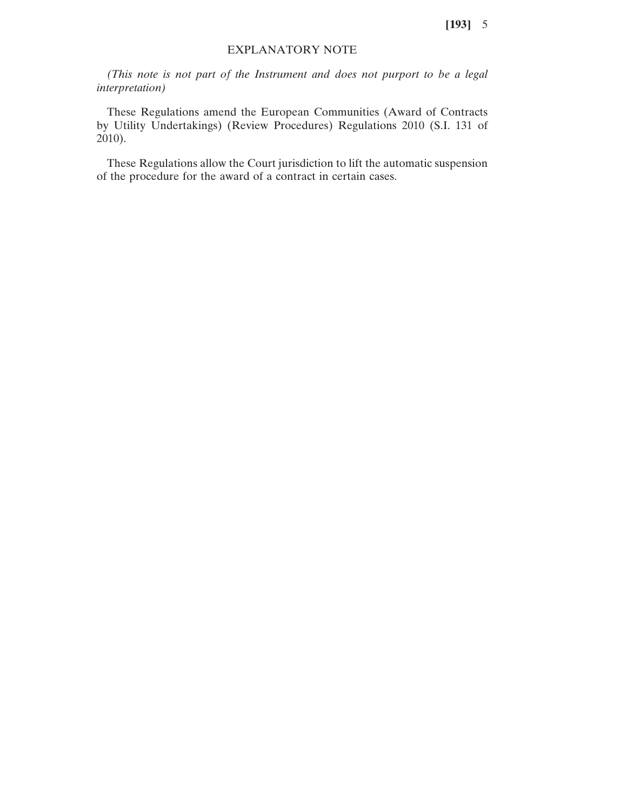**[193]** 5

### EXPLANATORY NOTE

*(This note is not part of the Instrument and does not purport to be a legal interpretation)*

These Regulations amend the European Communities (Award of Contracts by Utility Undertakings) (Review Procedures) Regulations 2010 (S.I. 131 of 2010).

These Regulations allow the Court jurisdiction to lift the automatic suspension of the procedure for the award of a contract in certain cases.